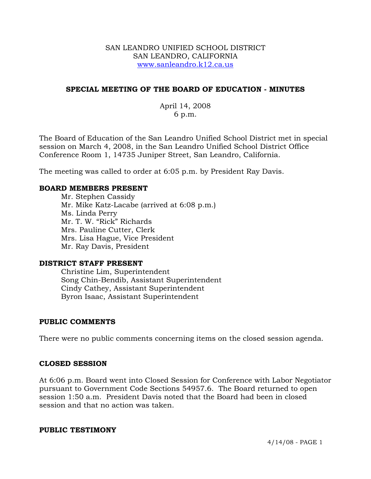### SAN LEANDRO UNIFIED SCHOOL DISTRICT SAN LEANDRO, CALIFORNIA www.sanleandro.k12.ca.us

## **SPECIAL MEETING OF THE BOARD OF EDUCATION - MINUTES**

# April 14, 2008 6 p.m.

The Board of Education of the San Leandro Unified School District met in special session on March 4, 2008, in the San Leandro Unified School District Office Conference Room 1, 14735 Juniper Street, San Leandro, California.

The meeting was called to order at 6:05 p.m. by President Ray Davis.

### **BOARD MEMBERS PRESENT**

Mr. Stephen Cassidy Mr. Mike Katz-Lacabe (arrived at 6:08 p.m.) Ms. Linda Perry Mr. T. W. "Rick" Richards Mrs. Pauline Cutter, Clerk Mrs. Lisa Hague, Vice President Mr. Ray Davis, President

### **DISTRICT STAFF PRESENT**

Christine Lim, Superintendent Song Chin-Bendib, Assistant Superintendent Cindy Cathey, Assistant Superintendent Byron Isaac, Assistant Superintendent

### **PUBLIC COMMENTS**

There were no public comments concerning items on the closed session agenda.

### **CLOSED SESSION**

At 6:06 p.m. Board went into Closed Session for Conference with Labor Negotiator pursuant to Government Code Sections 54957.6. The Board returned to open session 1:50 a.m. President Davis noted that the Board had been in closed session and that no action was taken.

### **PUBLIC TESTIMONY**